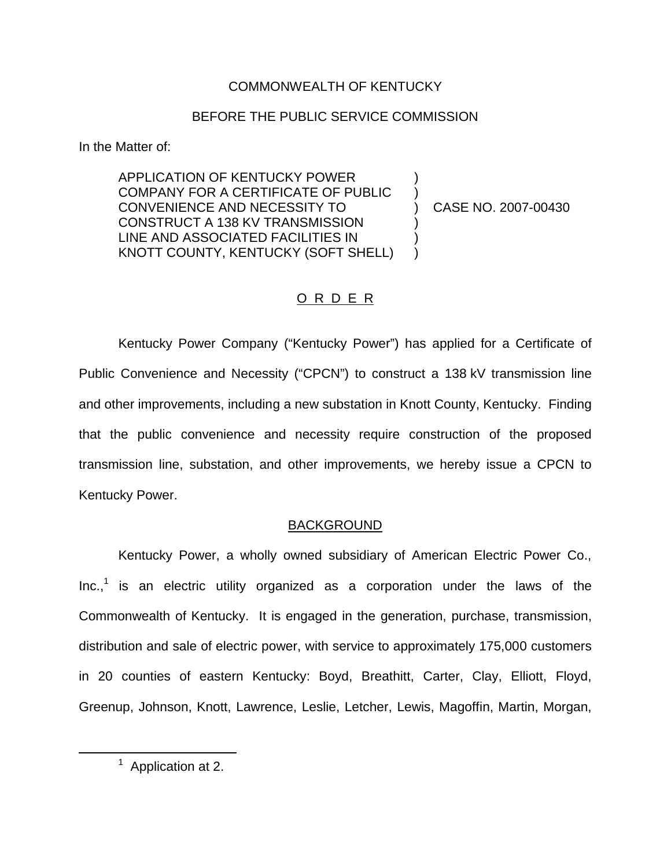# COMMONWEALTH OF KENTUCKY

# BEFORE THE PUBLIC SERVICE COMMISSION

In the Matter of:

APPLICATION OF KENTUCKY POWER ) COMPANY FOR A CERTIFICATE OF PUBLIC ) CONVENIENCE AND NECESSITY TO ) CASE NO. 2007-00430 CONSTRUCT A 138 KV TRANSMISSION ) LINE AND ASSOCIATED FACILITIES IN ) KNOTT COUNTY, KENTUCKY (SOFT SHELL) )

# O R D E R

Kentucky Power Company ("Kentucky Power") has applied for a Certificate of Public Convenience and Necessity ("CPCN") to construct a 138 kV transmission line and other improvements, including a new substation in Knott County, Kentucky. Finding that the public convenience and necessity require construction of the proposed transmission line, substation, and other improvements, we hereby issue a CPCN to Kentucky Power.

# BACKGROUND

Kentucky Power, a wholly owned subsidiary of American Electric Power Co.,  $Inc.<sup>1</sup>$  is an electric utility organized as a corporation under the laws of the Commonwealth of Kentucky. It is engaged in the generation, purchase, transmission, distribution and sale of electric power, with service to approximately 175,000 customers in 20 counties of eastern Kentucky: Boyd, Breathitt, Carter, Clay, Elliott, Floyd, Greenup, Johnson, Knott, Lawrence, Leslie, Letcher, Lewis, Magoffin, Martin, Morgan,

 $1$  Application at 2.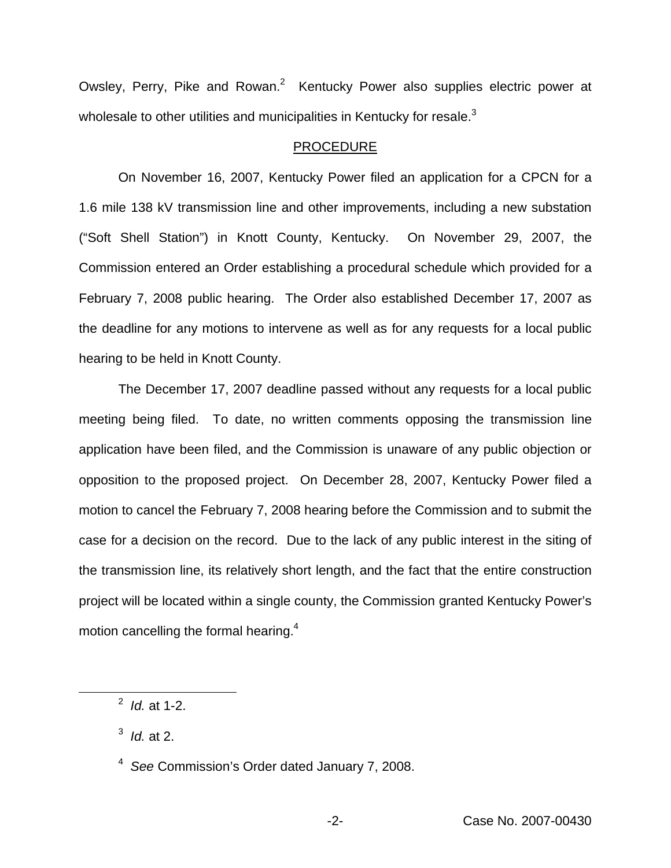Owsley, Perry, Pike and Rowan.<sup>2</sup> Kentucky Power also supplies electric power at wholesale to other utilities and municipalities in Kentucky for resale.<sup>3</sup>

### PROCEDURE

On November 16, 2007, Kentucky Power filed an application for a CPCN for a 1.6 mile 138 kV transmission line and other improvements, including a new substation ("Soft Shell Station") in Knott County, Kentucky. On November 29, 2007, the Commission entered an Order establishing a procedural schedule which provided for a February 7, 2008 public hearing. The Order also established December 17, 2007 as the deadline for any motions to intervene as well as for any requests for a local public hearing to be held in Knott County.

The December 17, 2007 deadline passed without any requests for a local public meeting being filed. To date, no written comments opposing the transmission line application have been filed, and the Commission is unaware of any public objection or opposition to the proposed project. On December 28, 2007, Kentucky Power filed a motion to cancel the February 7, 2008 hearing before the Commission and to submit the case for a decision on the record. Due to the lack of any public interest in the siting of the transmission line, its relatively short length, and the fact that the entire construction project will be located within a single county, the Commission granted Kentucky Power's motion cancelling the formal hearing.<sup>4</sup>

<sup>2</sup> *Id.* at 1-2.

<sup>3</sup> *Id.* at 2.

<sup>4</sup> *See* Commission's Order dated January 7, 2008.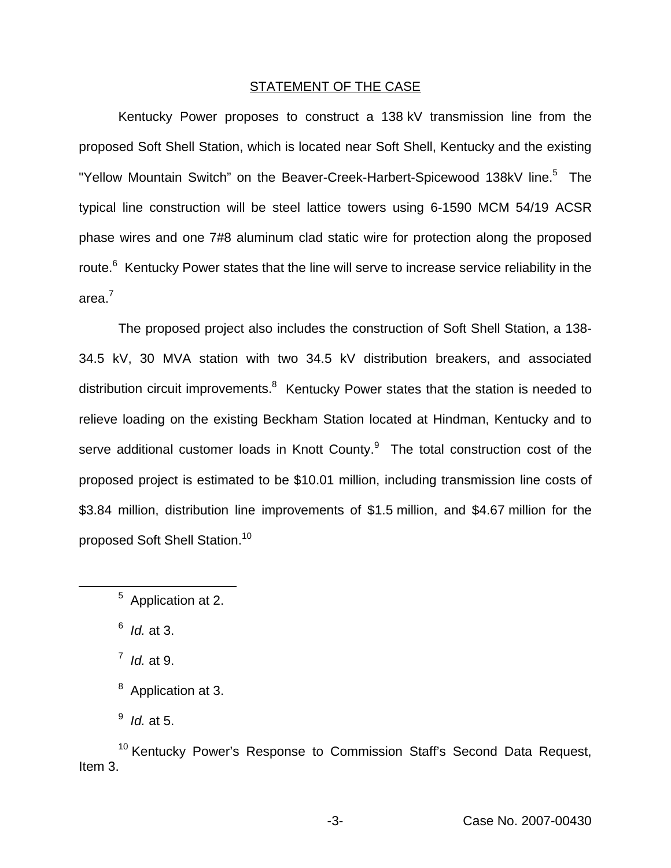### STATEMENT OF THE CASE

Kentucky Power proposes to construct a 138 kV transmission line from the proposed Soft Shell Station, which is located near Soft Shell, Kentucky and the existing "Yellow Mountain Switch" on the Beaver-Creek-Harbert-Spicewood 138kV line.<sup>5</sup> The typical line construction will be steel lattice towers using 6-1590 MCM 54/19 ACSR phase wires and one 7#8 aluminum clad static wire for protection along the proposed route.<sup>6</sup> Kentucky Power states that the line will serve to increase service reliability in the area.<sup>7</sup>

The proposed project also includes the construction of Soft Shell Station, a 138- 34.5 kV, 30 MVA station with two 34.5 kV distribution breakers, and associated distribution circuit improvements.<sup>8</sup> Kentucky Power states that the station is needed to relieve loading on the existing Beckham Station located at Hindman, Kentucky and to serve additional customer loads in Knott County.<sup>9</sup> The total construction cost of the proposed project is estimated to be \$10.01 million, including transmission line costs of \$3.84 million, distribution line improvements of \$1.5 million, and \$4.67 million for the proposed Soft Shell Station.<sup>10</sup>

<sup>6</sup> *Id.* at 3.

<sup>7</sup> *Id.* at 9.

<sup>10</sup> Kentucky Power's Response to Commission Staff's Second Data Request, Item 3.

<sup>5</sup> Application at 2.

<sup>&</sup>lt;sup>8</sup> Application at 3.

<sup>9</sup> *Id.* at 5.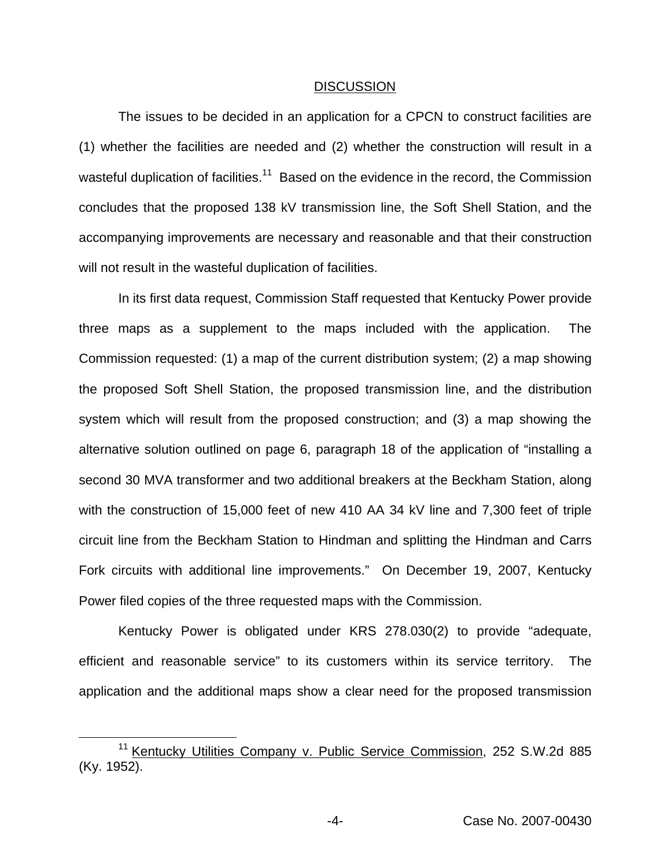#### **DISCUSSION**

The issues to be decided in an application for a CPCN to construct facilities are (1) whether the facilities are needed and (2) whether the construction will result in a wasteful duplication of facilities.<sup>11</sup> Based on the evidence in the record, the Commission concludes that the proposed 138 kV transmission line, the Soft Shell Station, and the accompanying improvements are necessary and reasonable and that their construction will not result in the wasteful duplication of facilities.

In its first data request, Commission Staff requested that Kentucky Power provide three maps as a supplement to the maps included with the application. The Commission requested: (1) a map of the current distribution system; (2) a map showing the proposed Soft Shell Station, the proposed transmission line, and the distribution system which will result from the proposed construction; and (3) a map showing the alternative solution outlined on page 6, paragraph 18 of the application of "installing a second 30 MVA transformer and two additional breakers at the Beckham Station, along with the construction of 15,000 feet of new 410 AA 34 kV line and 7,300 feet of triple circuit line from the Beckham Station to Hindman and splitting the Hindman and Carrs Fork circuits with additional line improvements." On December 19, 2007, Kentucky Power filed copies of the three requested maps with the Commission.

Kentucky Power is obligated under KRS 278.030(2) to provide "adequate, efficient and reasonable service" to its customers within its service territory. The application and the additional maps show a clear need for the proposed transmission

<sup>&</sup>lt;sup>11</sup> Kentucky Utilities Company v. Public Service Commission, 252 S.W.2d 885 (Ky. 1952).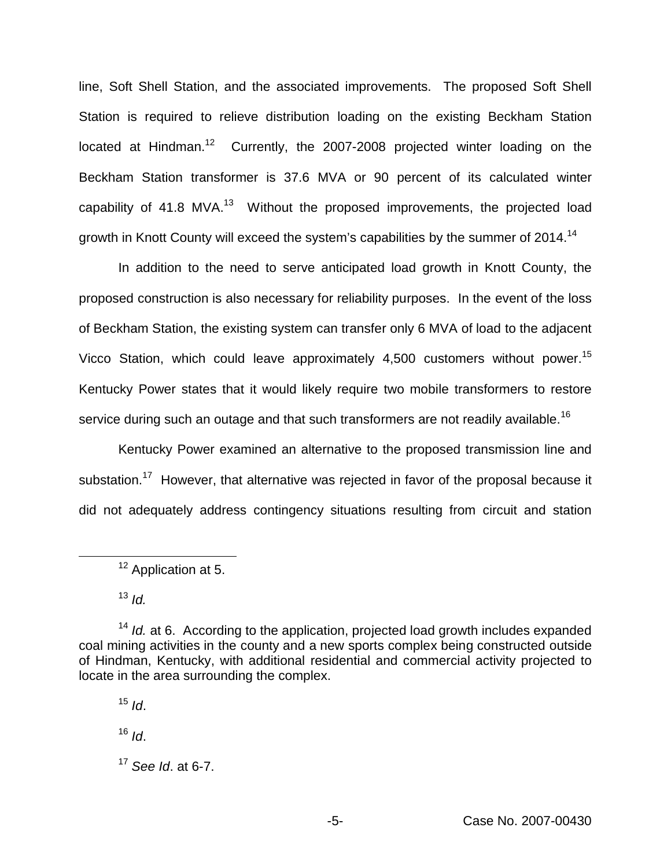line, Soft Shell Station, and the associated improvements. The proposed Soft Shell Station is required to relieve distribution loading on the existing Beckham Station located at Hindman.<sup>12</sup> Currently, the 2007-2008 projected winter loading on the Beckham Station transformer is 37.6 MVA or 90 percent of its calculated winter capability of 41.8 MVA.<sup>13</sup> Without the proposed improvements, the projected load growth in Knott County will exceed the system's capabilities by the summer of 2014.14

In addition to the need to serve anticipated load growth in Knott County, the proposed construction is also necessary for reliability purposes. In the event of the loss of Beckham Station, the existing system can transfer only 6 MVA of load to the adjacent Vicco Station, which could leave approximately 4,500 customers without power.<sup>15</sup> Kentucky Power states that it would likely require two mobile transformers to restore service during such an outage and that such transformers are not readily available.<sup>16</sup>

Kentucky Power examined an alternative to the proposed transmission line and substation.<sup>17</sup> However, that alternative was rejected in favor of the proposal because it did not adequately address contingency situations resulting from circuit and station

 $15$  *Id*.

<sup>16</sup> *Id*.

<sup>&</sup>lt;sup>12</sup> Application at 5.

<sup>13</sup> *Id.*

<sup>&</sup>lt;sup>14</sup> *Id.* at 6. According to the application, projected load growth includes expanded coal mining activities in the county and a new sports complex being constructed outside of Hindman, Kentucky, with additional residential and commercial activity projected to locate in the area surrounding the complex.

<sup>17</sup> *See Id*. at 6-7.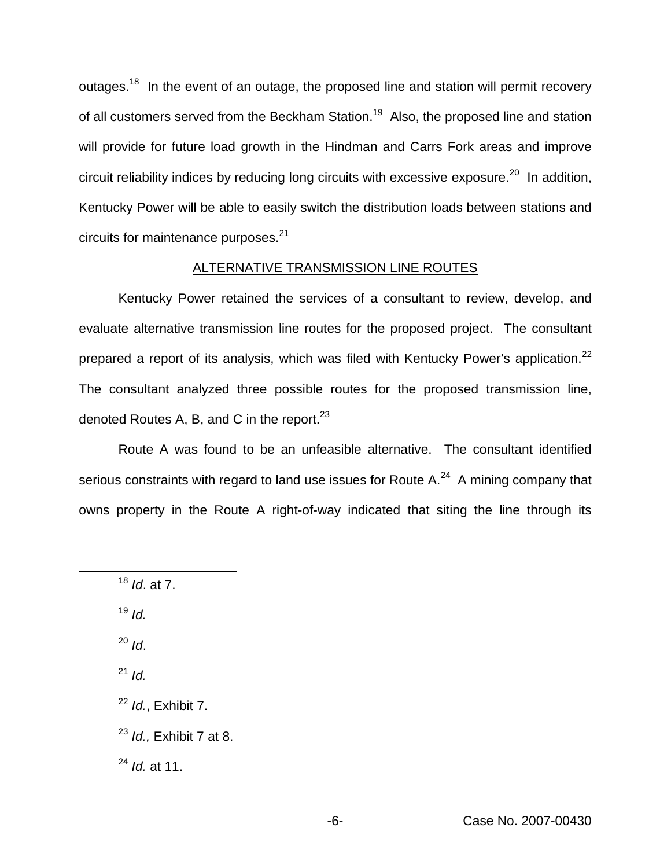outages.<sup>18</sup> In the event of an outage, the proposed line and station will permit recovery of all customers served from the Beckham Station.<sup>19</sup> Also, the proposed line and station will provide for future load growth in the Hindman and Carrs Fork areas and improve circuit reliability indices by reducing long circuits with excessive exposure.<sup>20</sup> In addition, Kentucky Power will be able to easily switch the distribution loads between stations and circuits for maintenance purposes.<sup>21</sup>

### ALTERNATIVE TRANSMISSION LINE ROUTES

Kentucky Power retained the services of a consultant to review, develop, and evaluate alternative transmission line routes for the proposed project. The consultant prepared a report of its analysis, which was filed with Kentucky Power's application.<sup>22</sup> The consultant analyzed three possible routes for the proposed transmission line, denoted Routes A, B, and C in the report. $^{23}$ 

Route A was found to be an unfeasible alternative. The consultant identified serious constraints with regard to land use issues for Route  $A^{24}$  A mining company that owns property in the Route A right-of-way indicated that siting the line through its

- $19$  *Id.*
- <sup>20</sup> *Id*.
- <sup>21</sup> *Id.*
- <sup>22</sup> *Id.*, Exhibit 7.
- <sup>23</sup> *Id.,* Exhibit 7 at 8.

<sup>24</sup> *Id.* at 11.

<sup>18</sup> *Id*. at 7.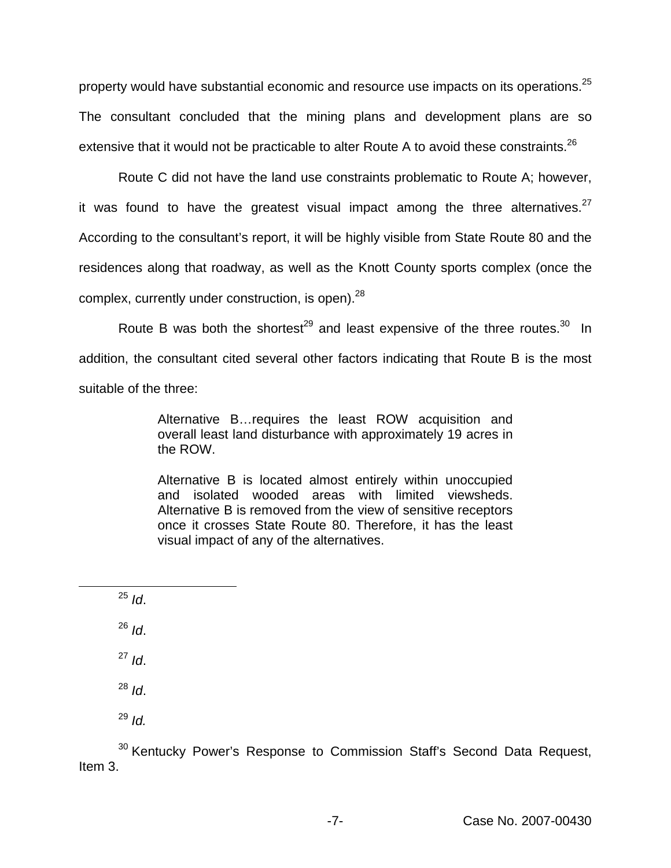property would have substantial economic and resource use impacts on its operations.<sup>25</sup> The consultant concluded that the mining plans and development plans are so extensive that it would not be practicable to alter Route A to avoid these constraints.<sup>26</sup>

Route C did not have the land use constraints problematic to Route A; however, it was found to have the greatest visual impact among the three alternatives.  $27$ According to the consultant's report, it will be highly visible from State Route 80 and the residences along that roadway, as well as the Knott County sports complex (once the complex, currently under construction, is open).<sup>28</sup>

Route B was both the shortest<sup>29</sup> and least expensive of the three routes.<sup>30</sup> In addition, the consultant cited several other factors indicating that Route B is the most suitable of the three:

> Alternative B…requires the least ROW acquisition and overall least land disturbance with approximately 19 acres in the ROW.

> Alternative B is located almost entirely within unoccupied and isolated wooded areas with limited viewsheds. Alternative B is removed from the view of sensitive receptors once it crosses State Route 80. Therefore, it has the least visual impact of any of the alternatives.

 $25$  *Id*.

 $^{26}$  *Id*.

<sup>27</sup> *Id*.

<sup>28</sup> *Id*.

<sup>29</sup> *Id.*

<sup>30</sup> Kentucky Power's Response to Commission Staff's Second Data Request, Item 3.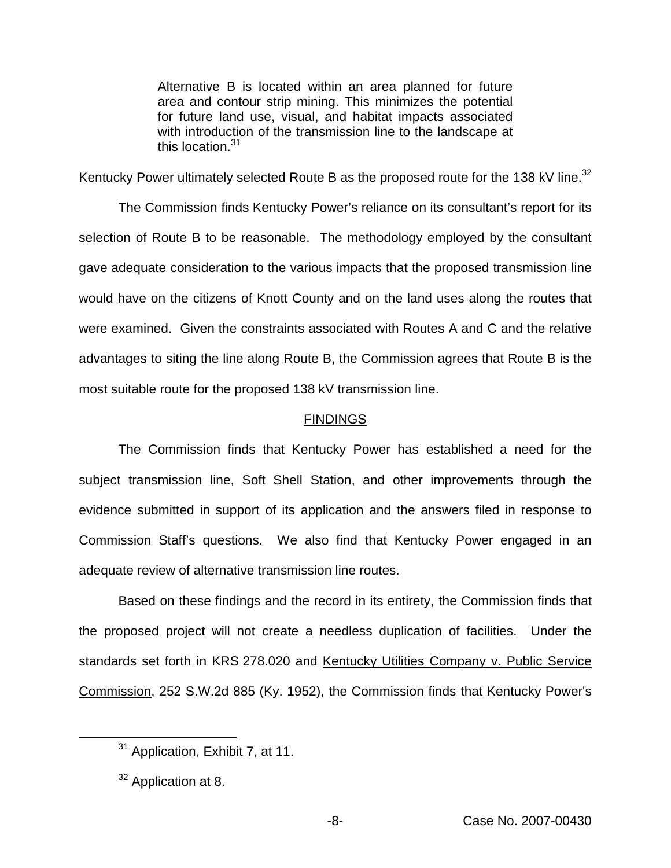Alternative B is located within an area planned for future area and contour strip mining. This minimizes the potential for future land use, visual, and habitat impacts associated with introduction of the transmission line to the landscape at this location.<sup>31</sup>

Kentucky Power ultimately selected Route B as the proposed route for the 138 kV line.<sup>32</sup>

The Commission finds Kentucky Power's reliance on its consultant's report for its selection of Route B to be reasonable. The methodology employed by the consultant gave adequate consideration to the various impacts that the proposed transmission line would have on the citizens of Knott County and on the land uses along the routes that were examined. Given the constraints associated with Routes A and C and the relative advantages to siting the line along Route B, the Commission agrees that Route B is the most suitable route for the proposed 138 kV transmission line.

### FINDINGS

The Commission finds that Kentucky Power has established a need for the subject transmission line, Soft Shell Station, and other improvements through the evidence submitted in support of its application and the answers filed in response to Commission Staff's questions. We also find that Kentucky Power engaged in an adequate review of alternative transmission line routes.

Based on these findings and the record in its entirety, the Commission finds that the proposed project will not create a needless duplication of facilities. Under the standards set forth in KRS 278.020 and Kentucky Utilities Company v. Public Service Commission, 252 S.W.2d 885 (Ky. 1952), the Commission finds that Kentucky Power's

<sup>31</sup> Application, Exhibit 7, at 11.

<sup>&</sup>lt;sup>32</sup> Application at 8.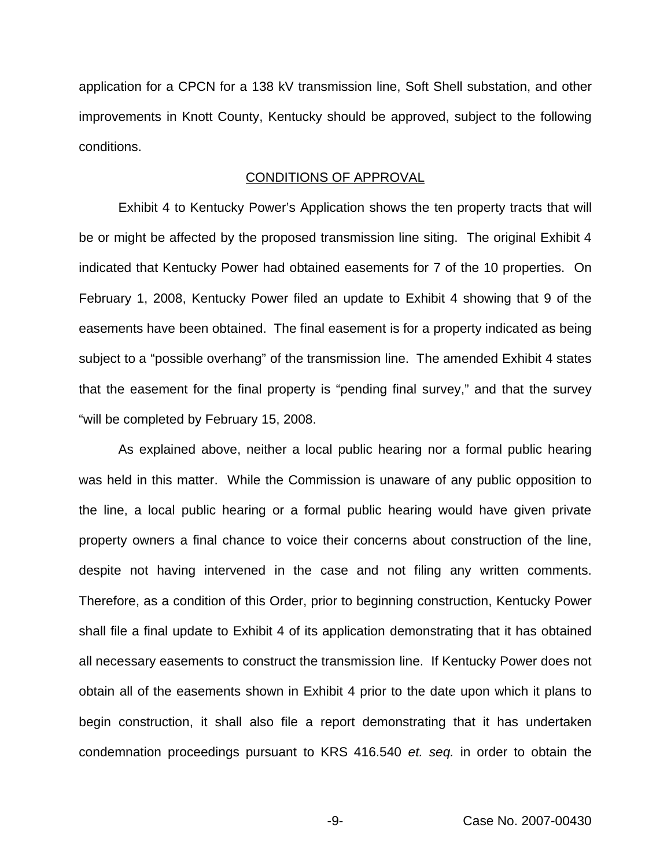application for a CPCN for a 138 kV transmission line, Soft Shell substation, and other improvements in Knott County, Kentucky should be approved, subject to the following conditions.

### CONDITIONS OF APPROVAL

Exhibit 4 to Kentucky Power's Application shows the ten property tracts that will be or might be affected by the proposed transmission line siting. The original Exhibit 4 indicated that Kentucky Power had obtained easements for 7 of the 10 properties. On February 1, 2008, Kentucky Power filed an update to Exhibit 4 showing that 9 of the easements have been obtained. The final easement is for a property indicated as being subject to a "possible overhang" of the transmission line. The amended Exhibit 4 states that the easement for the final property is "pending final survey," and that the survey "will be completed by February 15, 2008.

As explained above, neither a local public hearing nor a formal public hearing was held in this matter. While the Commission is unaware of any public opposition to the line, a local public hearing or a formal public hearing would have given private property owners a final chance to voice their concerns about construction of the line, despite not having intervened in the case and not filing any written comments. Therefore, as a condition of this Order, prior to beginning construction, Kentucky Power shall file a final update to Exhibit 4 of its application demonstrating that it has obtained all necessary easements to construct the transmission line. If Kentucky Power does not obtain all of the easements shown in Exhibit 4 prior to the date upon which it plans to begin construction, it shall also file a report demonstrating that it has undertaken condemnation proceedings pursuant to KRS 416.540 *et. seq.* in order to obtain the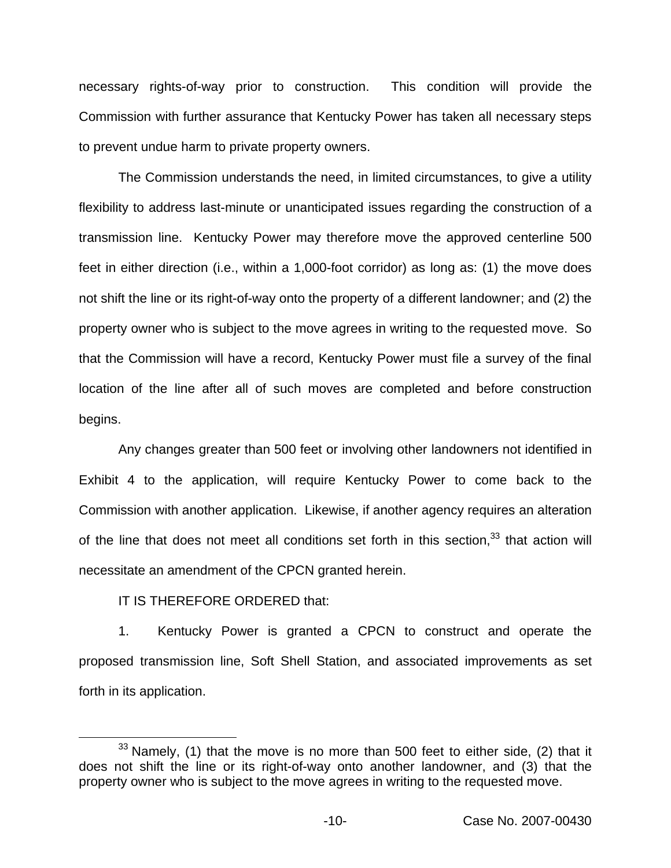necessary rights-of-way prior to construction. This condition will provide the Commission with further assurance that Kentucky Power has taken all necessary steps to prevent undue harm to private property owners.

The Commission understands the need, in limited circumstances, to give a utility flexibility to address last-minute or unanticipated issues regarding the construction of a transmission line. Kentucky Power may therefore move the approved centerline 500 feet in either direction (i.e., within a 1,000-foot corridor) as long as: (1) the move does not shift the line or its right-of-way onto the property of a different landowner; and (2) the property owner who is subject to the move agrees in writing to the requested move. So that the Commission will have a record, Kentucky Power must file a survey of the final location of the line after all of such moves are completed and before construction begins.

Any changes greater than 500 feet or involving other landowners not identified in Exhibit 4 to the application, will require Kentucky Power to come back to the Commission with another application. Likewise, if another agency requires an alteration of the line that does not meet all conditions set forth in this section,  $33$  that action will necessitate an amendment of the CPCN granted herein.

### IT IS THEREFORE ORDERED that:

1. Kentucky Power is granted a CPCN to construct and operate the proposed transmission line, Soft Shell Station, and associated improvements as set forth in its application.

 $33$  Namely, (1) that the move is no more than 500 feet to either side, (2) that it does not shift the line or its right-of-way onto another landowner, and (3) that the property owner who is subject to the move agrees in writing to the requested move.